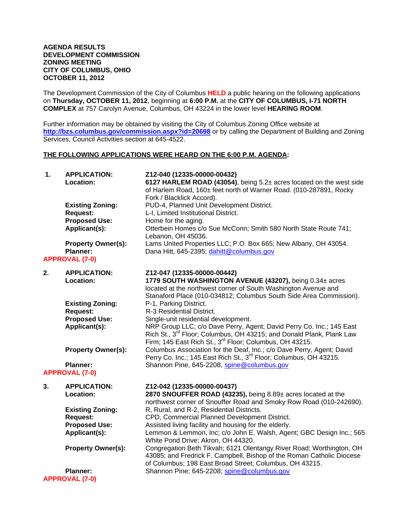#### **AGENDA RESULTS DEVELOPMENT COMMISSION ZONING MEETING CITY OF COLUMBUS, OHIO OCTOBER 11, 2012**

The Development Commission of the City of Columbus **HELD** a public hearing on the following applications on **Thursday, OCTOBER 11, 2012**, beginning at **6:00 P.M.** at the **CITY OF COLUMBUS, I-71 NORTH COMPLEX** at 757 Carolyn Avenue, Columbus, OH 43224 in the lower level **HEARING ROOM**.

Further information may be obtained by visiting the City of Columbus Zoning Office website at **http://bzs.columbus.gov/commission.aspx?id=20698** or by calling the Department of Building and Zoning Services, Council Activities section at 645-4522.

### **THE FOLLOWING APPLICATIONS WERE HEARD ON THE 6:00 P.M. AGENDA:**

| 1. | <b>APPLICATION:</b><br>Location:           | Z12-040 (12335-00000-00432)<br>6127 HARLEM ROAD (43054), being 5.2± acres located on the west side<br>of Harlem Road, 160± feet north of Warner Road. (010-287891, Rocky<br>Fork / Blacklick Accord).                           |
|----|--------------------------------------------|---------------------------------------------------------------------------------------------------------------------------------------------------------------------------------------------------------------------------------|
|    | <b>Existing Zoning:</b>                    | PUD-4, Planned Unit Development District.                                                                                                                                                                                       |
|    | <b>Request:</b><br><b>Proposed Use:</b>    | L-I, Limited Institutional District.                                                                                                                                                                                            |
|    | Applicant(s):                              | Home for the aging.<br>Otterbein Homes c/o Sue McConn; Smith 580 North State Route 741;<br>Lebanon, OH 45036.                                                                                                                   |
|    | <b>Property Owner(s):</b>                  | Lams United Properties LLC; P.O. Box 665; New Albany, OH 43054.                                                                                                                                                                 |
|    | <b>Planner:</b>                            | Dana Hitt, 645-2395; dahitt@columbus.gov                                                                                                                                                                                        |
|    | <b>APPROVAL (7-0)</b>                      |                                                                                                                                                                                                                                 |
| 2. | <b>APPLICATION:</b>                        | Z12-047 (12335-00000-00442)                                                                                                                                                                                                     |
|    | Location:                                  | 1779 SOUTH WASHINGTON AVENUE (43207), being 0.34± acres<br>located at the northwest corner of South Washington Avenue and<br>Stanaford Place (010-034812; Columbus South Side Area Commission).                                 |
|    | <b>Existing Zoning:</b><br><b>Request:</b> | P-1, Parking District.<br>R-3 Residential District.                                                                                                                                                                             |
|    | <b>Proposed Use:</b>                       | Single-unit residential development.                                                                                                                                                                                            |
|    | Applicant(s):                              | NRP Group LLC; c/o Dave Perry, Agent; David Perry Co. Inc.; 145 East<br>Rich St., 3 <sup>rd</sup> Floor; Columbus, OH 43215; and Donald Plank, Plank Law<br>Firm; 145 East Rich St., 3 <sup>rd</sup> Floor; Columbus, OH 43215. |
|    | <b>Property Owner(s):</b>                  | Columbus Association for the Deaf, Inc.; c/o Dave Perry, Agent; David<br>Perry Co. Inc.; 145 East Rich St., 3 <sup>rd</sup> Floor; Columbus, OH 43215.                                                                          |
|    | <b>Planner:</b>                            | Shannon Pine, 645-2208, spine@columbus.gov                                                                                                                                                                                      |
|    | <b>APPROVAL (7-0)</b>                      |                                                                                                                                                                                                                                 |
| 3. | <b>APPLICATION:</b><br>Location:           | Z12-042 (12335-00000-00437)<br>2870 SNOUFFER ROAD (43235), being 8.89± acres located at the<br>northwest corner of Snouffer Road and Smoky Row Road (010-242690).                                                               |
|    | <b>Existing Zoning:</b>                    | R, Rural, and R-2, Residential Districts.                                                                                                                                                                                       |
|    | <b>Request:</b>                            | CPD, Commercial Planned Development District.                                                                                                                                                                                   |
|    | <b>Proposed Use:</b>                       | Assisted living facility and housing for the elderly.                                                                                                                                                                           |
|    | Applicant(s):                              | Lemmon & Lemmon, Inc; c/o John E. Walsh, Agent; GBC Design Inc.; 565<br>White Pond Drive; Akron, OH 44320.                                                                                                                      |
|    | <b>Property Owner(s):</b>                  | Congregation Beth Tikvah; 6121 Olentangy River Road; Worthington, OH<br>43085; and Fredrick F. Campbell, Bishop of the Roman Catholic Diocese<br>of Columbus; 198 East Broad Street; Columbus, OH 43215.                        |
|    | <b>Planner:</b>                            | Shannon Pine; 645-2208; spine@columbus.gov                                                                                                                                                                                      |
|    | <b>APPROVAL (7-0)</b>                      |                                                                                                                                                                                                                                 |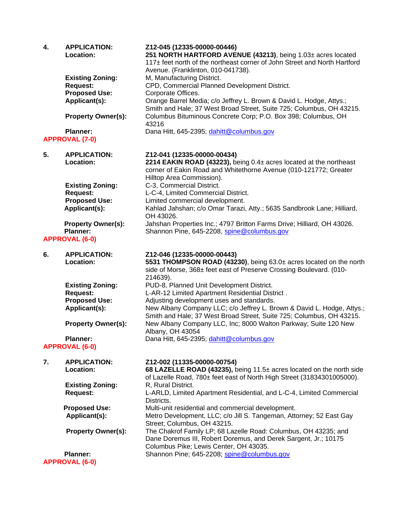| 4. | <b>APPLICATION:</b><br>Location:             | Z12-045 (12335-00000-00446)<br>251 NORTH HARTFORD AVENUE (43213), being 1.03± acres located                                                                                                        |
|----|----------------------------------------------|----------------------------------------------------------------------------------------------------------------------------------------------------------------------------------------------------|
|    |                                              | 117± feet north of the northeast corner of John Street and North Hartford                                                                                                                          |
|    |                                              | Avenue. (Franklinton, 010-041738).                                                                                                                                                                 |
|    | <b>Existing Zoning:</b><br><b>Request:</b>   | M, Manufacturing District.<br>CPD, Commercial Planned Development District.                                                                                                                        |
|    | <b>Proposed Use:</b>                         | Corporate Offices.                                                                                                                                                                                 |
|    | Applicant(s):                                | Orange Barrel Media; c/o Jeffrey L. Brown & David L. Hodge, Attys.;<br>Smith and Hale; 37 West Broad Street, Suite 725; Columbus, OH 43215.                                                        |
|    | <b>Property Owner(s):</b>                    | Columbus Bituminous Concrete Corp; P.O. Box 398; Columbus, OH<br>43216                                                                                                                             |
|    | <b>Planner:</b>                              | Dana Hitt, 645-2395; dahitt@columbus.gov                                                                                                                                                           |
|    | <b>APPROVAL (7-0)</b>                        |                                                                                                                                                                                                    |
| 5. | <b>APPLICATION:</b><br>Location:             | Z12-041 (12335-00000-00434)<br>2214 EAKIN ROAD (43223), being 0.4± acres located at the northeast<br>corner of Eakin Road and Whitethorne Avenue (010-121772; Greater<br>Hilltop Area Commission). |
|    | <b>Existing Zoning:</b>                      | C-3, Commercial District.                                                                                                                                                                          |
|    | <b>Request:</b>                              | L-C-4, Limited Commercial District.                                                                                                                                                                |
|    | <b>Proposed Use:</b><br>Applicant(s):        | Limited commercial development.<br>Kahlad Jahshan; c/o Omar Tarazi, Atty.; 5635 Sandbrook Lane; Hilliard,<br>OH 43026.                                                                             |
|    | <b>Property Owner(s):</b><br><b>Planner:</b> | Jahshan Properties Inc.; 4797 Britton Farms Drive; Hilliard, OH 43026.<br>Shannon Pine, 645-2208, spine@columbus.gov                                                                               |
|    | <b>APPROVAL (6-0)</b>                        |                                                                                                                                                                                                    |
| 6. | <b>APPLICATION:</b><br>Location:             | Z12-046 (12335-00000-00443)<br>5531 THOMPSON ROAD (43230), being 63.0± acres located on the north<br>side of Morse, 368± feet east of Preserve Crossing Boulevard. (010-<br>214639).               |
|    | <b>Existing Zoning:</b>                      | PUD-8, Planned Unit Development District.                                                                                                                                                          |
|    | <b>Request:</b>                              | L-AR-12 Limited Apartment Residential District.                                                                                                                                                    |
|    | <b>Proposed Use:</b>                         | Adjusting development uses and standards.                                                                                                                                                          |
|    | Applicant(s):                                | New Albany Company LLC; c/o Jeffrey L. Brown & David L. Hodge, Attys.;<br>Smith and Hale; 37 West Broad Street, Suite 725; Columbus, OH 43215.                                                     |
|    | <b>Property Owner(s):</b>                    | New Albany Company LLC, Inc; 8000 Walton Parkway; Suite 120 New<br>Albany, OH 43054                                                                                                                |
|    | <b>Planner:</b><br><b>APPROVAL (6-0)</b>     | Dana Hitt, 645-2395; dahitt@columbus.gov                                                                                                                                                           |
| 7. | <b>APPLICATION:</b>                          | Z12-002 (11335-00000-00754)                                                                                                                                                                        |
|    | Location:                                    | 68 LAZELLE ROAD (43235), being 11.5± acres located on the north side<br>of Lazelle Road, 780± feet east of North High Street (31834301005000).                                                     |
|    | <b>Existing Zoning:</b><br><b>Request:</b>   | R, Rural District.<br>L-ARLD, Limited Apartment Residential, and L-C-4, Limited Commercial<br>Districts.                                                                                           |
|    | <b>Proposed Use:</b>                         | Multi-unit residential and commercial development.                                                                                                                                                 |
|    | Applicant(s):                                | Metro Development, LLC; c/o Jill S. Tangeman, Attorney; 52 East Gay<br>Street; Columbus, OH 43215.                                                                                                 |
|    | <b>Property Owner(s):</b>                    | The Chakrof Family LP; 68 Lazelle Road: Columbus, OH 43235; and<br>Dane Doremus III, Robert Doremus, and Derek Sargent, Jr.; 10175<br>Columbus Pike; Lewis Center, OH 43035.                       |
|    | <b>Planner:</b><br><b>APPROVAL (6-0)</b>     | Shannon Pine; 645-2208; spine@columbus.gov                                                                                                                                                         |